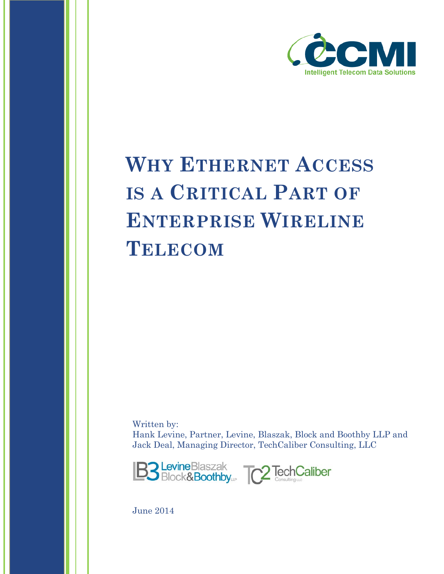

# **WHY ETHERNET ACCESS IS A CRITICAL PART OF ENTERPRISE WIRELINE TELECOM**

Written by: Hank Levine, Partner, Levine, Blaszak, Block and Boothby LLP and Jack Deal, Managing Director, TechCaliber Consulting, LLC



June 2014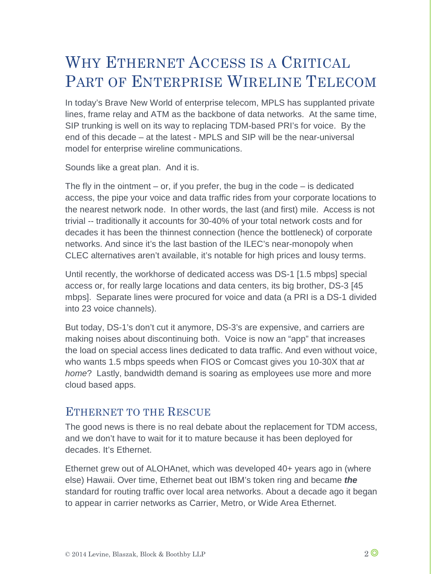# WHY ETHERNET ACCESS IS A CRITICAL PART OF ENTERPRISE WIRELINE TELECOM

In today's Brave New World of enterprise telecom, MPLS has supplanted private lines, frame relay and ATM as the backbone of data networks. At the same time, SIP trunking is well on its way to replacing TDM-based PRI's for voice. By the end of this decade – at the latest - MPLS and SIP will be the near-universal model for enterprise wireline communications.

Sounds like a great plan. And it is.

The fly in the ointment  $-$  or, if you prefer, the bug in the code  $-$  is dedicated access, the pipe your voice and data traffic rides from your corporate locations to the nearest network node. In other words, the last (and first) mile. Access is not trivial -- traditionally it accounts for 30-40% of your total network costs and for decades it has been the thinnest connection (hence the bottleneck) of corporate networks. And since it's the last bastion of the ILEC's near-monopoly when CLEC alternatives aren't available, it's notable for high prices and lousy terms.

Until recently, the workhorse of dedicated access was DS-1 [1.5 mbps] special access or, for really large locations and data centers, its big brother, DS-3 [45 mbps]. Separate lines were procured for voice and data (a PRI is a DS-1 divided into 23 voice channels).

But today, DS-1's don't cut it anymore, DS-3's are expensive, and carriers are making noises about discontinuing both. Voice is now an "app" that increases the load on special access lines dedicated to data traffic. And even without voice, who wants 1.5 mbps speeds when FIOS or Comcast gives you 10-30X that *at home*? Lastly, bandwidth demand is soaring as employees use more and more cloud based apps.

#### ETHERNET TO THE RESCUE

The good news is there is no real debate about the replacement for TDM access, and we don't have to wait for it to mature because it has been deployed for decades. It's Ethernet.

Ethernet grew out of ALOHAnet, which was developed 40+ years ago in (where else) Hawaii. Over time, Ethernet beat out IBM's token ring and became *the* standard for routing traffic over local area networks. About a decade ago it began to appear in carrier networks as Carrier, Metro, or Wide Area Ethernet.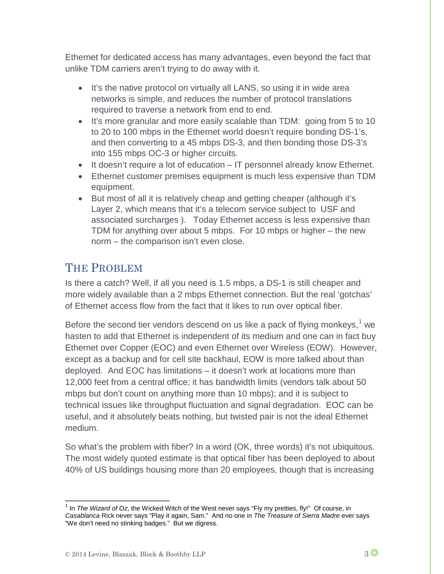Ethernet for dedicated access has many advantages, even beyond the fact that unlike TDM carriers aren't trying to do away with it.

- It's the native protocol on virtually all LANS, so using it in wide area networks is simple, and reduces the number of protocol translations required to traverse a network from end to end.
- It's more granular and more easily scalable than TDM: going from 5 to 10 to 20 to 100 mbps in the Ethernet world doesn't require bonding DS-1's, and then converting to a 45 mbps DS-3, and then bonding those DS-3's into 155 mbps OC-3 or higher circuits.
- It doesn't require a lot of education IT personnel already know Ethernet.
- Ethernet customer premises equipment is much less expensive than TDM equipment.
- But most of all it is relatively cheap and getting cheaper (although it's Layer 2, which means that it's a telecom service subject to USF and associated surcharges ). Today Ethernet access is less expensive than TDM for anything over about 5 mbps. For 10 mbps or higher – the new norm – the comparison isn't even close.

## THE PROBLEM

Is there a catch? Well, if all you need is 1.5 mbps, a DS-1 is still cheaper and more widely available than a 2 mbps Ethernet connection. But the real 'gotchas' of Ethernet access flow from the fact that it likes to run over optical fiber.

Before the second tier vendors descend on us like a pack of flying monkeys,<sup>[1](#page-2-0)</sup> we hasten to add that Ethernet is independent of its medium and one can in fact buy Ethernet over Copper (EOC) and even Ethernet over Wireless (EOW). However, except as a backup and for cell site backhaul, EOW is more talked about than deployed. And EOC has limitations – it doesn't work at locations more than 12,000 feet from a central office; it has bandwidth limits (vendors talk about 50 mbps but don't count on anything more than 10 mbps); and it is subject to technical issues like throughput fluctuation and signal degradation. EOC can be useful, and it absolutely beats nothing, but twisted pair is not the ideal Ethernet medium.

So what's the problem with fiber? In a word (OK, three words) it's not ubiquitous. The most widely quoted estimate is that optical fiber has been deployed to about 40% of US buildings housing more than 20 employees, though that is increasing

<span id="page-2-0"></span><sup>1</sup> In *The Wizard of Oz*, the Wicked Witch of the West never says "Fly my pretties, fly!" Of course, in *Casablanca* Rick never says "Play it again, Sam." And no one in *The Treasure of Sierra Madre* ever says "We don't need no stinking badges." But we digress.  $\overline{a}$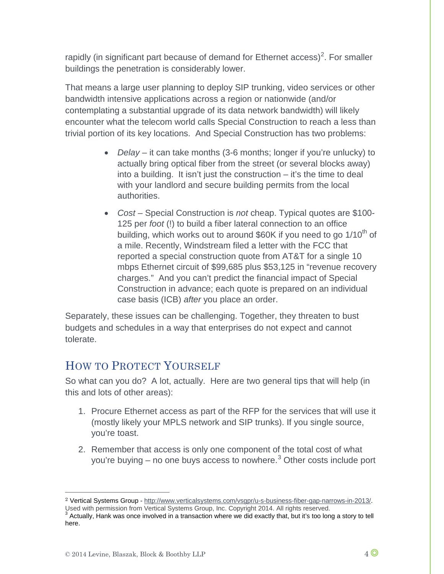rapidly (in significant part because of demand for Ethernet access)<sup>[2](#page-3-0)</sup>. For smaller buildings the penetration is considerably lower.

That means a large user planning to deploy SIP trunking, video services or other bandwidth intensive applications across a region or nationwide (and/or contemplating a substantial upgrade of its data network bandwidth) will likely encounter what the telecom world calls Special Construction to reach a less than trivial portion of its key locations. And Special Construction has two problems:

- *Delay* it can take months (3-6 months; longer if you're unlucky) to actually bring optical fiber from the street (or several blocks away) into a building. It isn't just the construction – it's the time to deal with your landlord and secure building permits from the local authorities.
- *Cost* Special Construction is *not* cheap. Typical quotes are \$100- 125 per *foot* (!) to build a fiber lateral connection to an office building, which works out to around  $$60K$  if you need to go  $1/10<sup>th</sup>$  of a mile. Recently, Windstream filed a letter with the FCC that reported a special construction quote from AT&T for a single 10 mbps Ethernet circuit of \$99,685 plus \$53,125 in "revenue recovery charges." And you can't predict the financial impact of Special Construction in advance; each quote is prepared on an individual case basis (ICB) *after* you place an order.

Separately, these issues can be challenging. Together, they threaten to bust budgets and schedules in a way that enterprises do not expect and cannot tolerate.

### HOW TO PROTECT YOURSELF

So what can you do? A lot, actually. Here are two general tips that will help (in this and lots of other areas):

- 1. Procure Ethernet access as part of the RFP for the services that will use it (mostly likely your MPLS network and SIP trunks). If you single source, you're toast.
- 2. Remember that access is only one component of the total cost of what you're buying – no one buys access to nowhere.<sup>[3](#page-3-1)</sup> Other costs include port

 $\overline{a}$ 

<span id="page-3-0"></span><sup>2</sup> Vertical Systems Group - [http://www.verticalsystems.com/vsgpr/u-s-business-fiber-gap-narrows-in-2013/.](http://www.verticalsystems.com/vsgpr/u-s-business-fiber-gap-narrows-in-2013/) Used with permission from Vertical Systems Group, Inc. Copyright 2014. All rights reserved.<br><sup>3</sup> Actually, Hank was once involved in a transaction where we did exactly that, but it's too long a story to tell

<span id="page-3-1"></span>here.